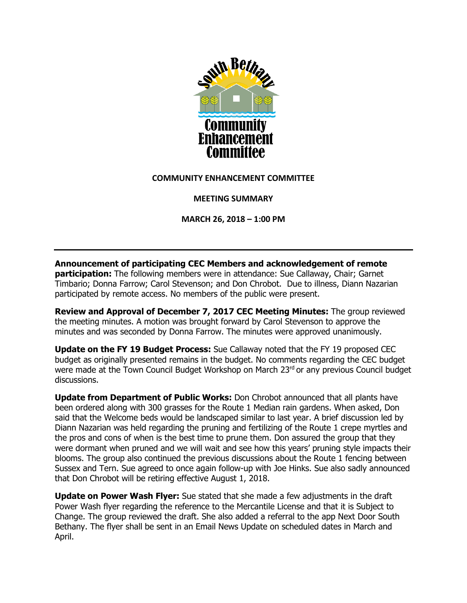

## **COMMUNITY ENHANCEMENT COMMITTEE**

**MEETING SUMMARY**

**MARCH 26, 2018 – 1:00 PM**

**Announcement of participating CEC Members and acknowledgement of remote participation:** The following members were in attendance: Sue Callaway, Chair; Garnet Timbario; Donna Farrow; Carol Stevenson; and Don Chrobot. Due to illness, Diann Nazarian participated by remote access. No members of the public were present.

**Review and Approval of December 7, 2017 CEC Meeting Minutes:** The group reviewed the meeting minutes. A motion was brought forward by Carol Stevenson to approve the minutes and was seconded by Donna Farrow. The minutes were approved unanimously.

**Update on the FY 19 Budget Process:** Sue Callaway noted that the FY 19 proposed CEC budget as originally presented remains in the budget. No comments regarding the CEC budget were made at the Town Council Budget Workshop on March 23rd or any previous Council budget discussions.

**Update from Department of Public Works:** Don Chrobot announced that all plants have been ordered along with 300 grasses for the Route 1 Median rain gardens. When asked, Don said that the Welcome beds would be landscaped similar to last year. A brief discussion led by Diann Nazarian was held regarding the pruning and fertilizing of the Route 1 crepe myrtles and the pros and cons of when is the best time to prune them. Don assured the group that they were dormant when pruned and we will wait and see how this years' pruning style impacts their blooms. The group also continued the previous discussions about the Route 1 fencing between Sussex and Tern. Sue agreed to once again follow-up with Joe Hinks. Sue also sadly announced that Don Chrobot will be retiring effective August 1, 2018.

**Update on Power Wash Flyer:** Sue stated that she made a few adjustments in the draft Power Wash flyer regarding the reference to the Mercantile License and that it is Subject to Change. The group reviewed the draft. She also added a referral to the app Next Door South Bethany. The flyer shall be sent in an Email News Update on scheduled dates in March and April.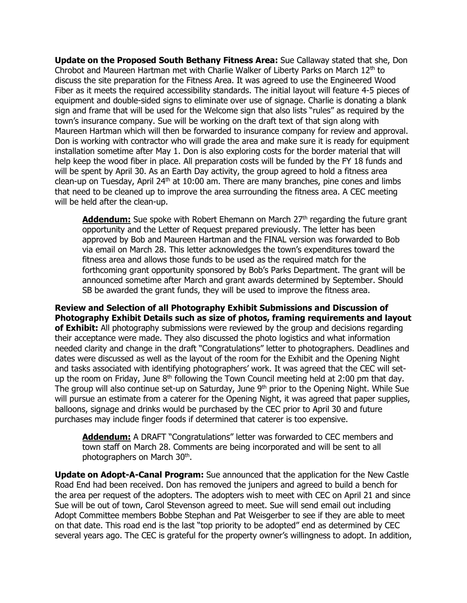**Update on the Proposed South Bethany Fitness Area:** Sue Callaway stated that she, Don Chrobot and Maureen Hartman met with Charlie Walker of Liberty Parks on March  $12<sup>th</sup>$  to discuss the site preparation for the Fitness Area. It was agreed to use the Engineered Wood Fiber as it meets the required accessibility standards. The initial layout will feature 4-5 pieces of equipment and double-sided signs to eliminate over use of signage. Charlie is donating a blank sign and frame that will be used for the Welcome sign that also lists "rules" as required by the town's insurance company. Sue will be working on the draft text of that sign along with Maureen Hartman which will then be forwarded to insurance company for review and approval. Don is working with contractor who will grade the area and make sure it is ready for equipment installation sometime after May 1. Don is also exploring costs for the border material that will help keep the wood fiber in place. All preparation costs will be funded by the FY 18 funds and will be spent by April 30. As an Earth Day activity, the group agreed to hold a fitness area clean-up on Tuesday, April  $24<sup>th</sup>$  at 10:00 am. There are many branches, pine cones and limbs that need to be cleaned up to improve the area surrounding the fitness area. A CEC meeting will be held after the clean-up.

**Addendum:** Sue spoke with Robert Ehemann on March 27<sup>th</sup> regarding the future grant opportunity and the Letter of Request prepared previously. The letter has been approved by Bob and Maureen Hartman and the FINAL version was forwarded to Bob via email on March 28. This letter acknowledges the town's expenditures toward the fitness area and allows those funds to be used as the required match for the forthcoming grant opportunity sponsored by Bob's Parks Department. The grant will be announced sometime after March and grant awards determined by September. Should SB be awarded the grant funds, they will be used to improve the fitness area.

**Review and Selection of all Photography Exhibit Submissions and Discussion of Photography Exhibit Details such as size of photos, framing requirements and layout of Exhibit:** All photography submissions were reviewed by the group and decisions regarding their acceptance were made. They also discussed the photo logistics and what information needed clarity and change in the draft "Congratulations" letter to photographers. Deadlines and dates were discussed as well as the layout of the room for the Exhibit and the Opening Night and tasks associated with identifying photographers' work. It was agreed that the CEC will setup the room on Friday, June  $8<sup>th</sup>$  following the Town Council meeting held at 2:00 pm that day. The group will also continue set-up on Saturday, June 9<sup>th</sup> prior to the Opening Night. While Sue will pursue an estimate from a caterer for the Opening Night, it was agreed that paper supplies, balloons, signage and drinks would be purchased by the CEC prior to April 30 and future purchases may include finger foods if determined that caterer is too expensive.

**Addendum:** A DRAFT "Congratulations" letter was forwarded to CEC members and town staff on March 28. Comments are being incorporated and will be sent to all photographers on March 30<sup>th</sup>.

**Update on Adopt-A-Canal Program:** Sue announced that the application for the New Castle Road End had been received. Don has removed the junipers and agreed to build a bench for the area per request of the adopters. The adopters wish to meet with CEC on April 21 and since Sue will be out of town, Carol Stevenson agreed to meet. Sue will send email out including Adopt Committee members Bobbe Stephan and Pat Weisgerber to see if they are able to meet on that date. This road end is the last "top priority to be adopted" end as determined by CEC several years ago. The CEC is grateful for the property owner's willingness to adopt. In addition,